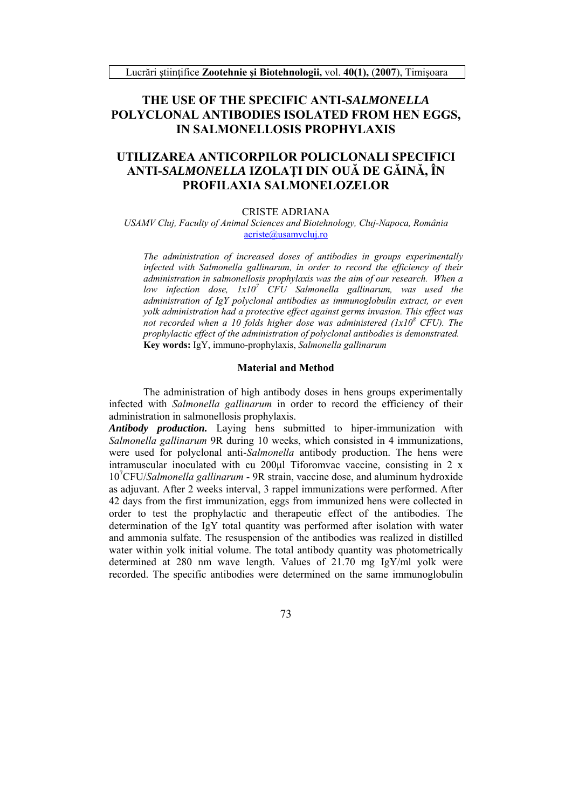## THE USE OF THE SPECIFIC ANTI-SALMONELLA POLYCLONAL ANTIBODIES ISOLATED FROM HEN EGGS, **IN SALMONELLOSIS PROPHYLAXIS**

# UTILIZAREA ANTICORPILOR POLICLONALI SPECIFICI ANTI-SALMONELLA IZOLAȚI DIN OUĂ DE GĂINĂ, ÎN PROFILAXIA SALMONELOZELOR

#### **CRISTE ADRIANA**

USAMV Cluj, Faculty of Animal Sciences and Biotehnology, Cluj-Napoca, România  $acriste@$ usamvcluj.ro

The administration of increased doses of antibodies in groups experimentally infected with Salmonella gallinarum, in order to record the efficiency of their administration in salmonellosis prophylaxis was the aim of our research. When a low infection dose,  $1x10^7$  CFU Salmonella gallinarum, was used the administration of IgY polyclonal antibodies as immunoglobulin extract, or even yolk administration had a protective effect against germs invasion. This effect was not recorded when a 10 folds higher dose was administered  $(Ix10^8$  CFU). The prophylactic effect of the administration of polyclonal antibodies is demonstrated. Key words: IgY, immuno-prophylaxis, Salmonella gallinarum

### **Material and Method**

The administration of high antibody doses in hens groups experimentally infected with *Salmonella gallinarum* in order to record the efficiency of their administration in salmonellosis prophylaxis.

**Antibody production.** Laving hens submitted to hiper-immunization with Salmonella gallinarum 9R during 10 weeks, which consisted in 4 immunizations, were used for polyclonal anti-Salmonella antibody production. The hens were intramuscular inoculated with cu 200µl Tiforomvac vaccine, consisting in 2 x  $10^7$ CFU/*Salmonella gallinarum* - 9R strain, vaccine dose, and aluminum hydroxide as adjuvant. After 2 weeks interval, 3 rappel immunizations were performed. After 42 days from the first immunization, eggs from immunized hens were collected in order to test the prophylactic and therapeutic effect of the antibodies. The determination of the IgY total quantity was performed after isolation with water and ammonia sulfate. The resuspension of the antibodies was realized in distilled water within yolk initial volume. The total antibody quantity was photometrically determined at 280 nm wave length. Values of 21.70 mg IgY/ml yolk were recorded. The specific antibodies were determined on the same immunoglobulin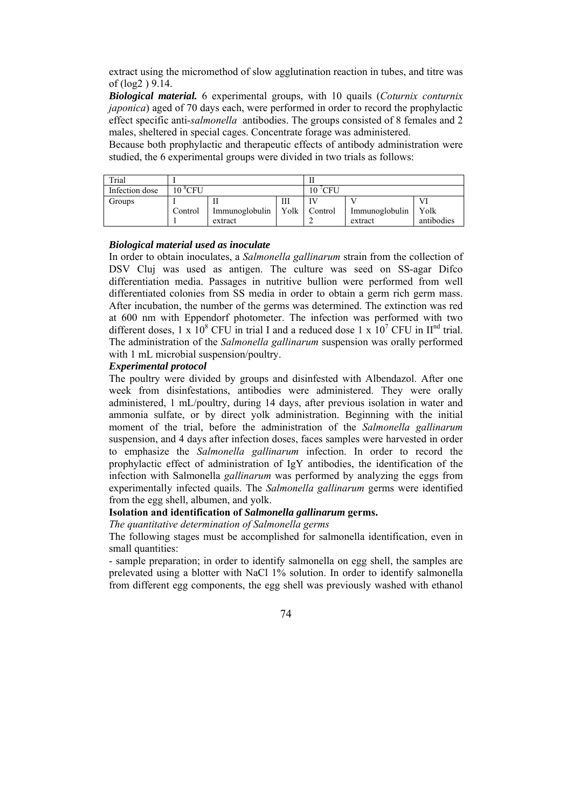extract using the micromethod of slow agglutination reaction in tubes, and titre was of (log2 ) 9.14.

*Biological material.* 6 experimental groups, with 10 quails (*Coturnix conturnix japonica*) aged of 70 days each, were performed in order to record the prophylactic effect specific anti-*salmonella* antibodies. The groups consisted of 8 females and 2 males, sheltered in special cages. Concentrate forage was administered.

Because both prophylactic and therapeutic effects of antibody administration were studied, the 6 experimental groups were divided in two trials as follows:

| Trial          |         |                |   |                        |                |            |  |
|----------------|---------|----------------|---|------------------------|----------------|------------|--|
| Infection dose | 10 °CFU |                |   | <sup>7</sup> CFU<br>10 |                |            |  |
| Groups         |         |                | Ш | TΩ                     |                | VI         |  |
|                | Control | Immunoglobulin |   | Yolk Control           | Immunoglobulin | Yolk       |  |
|                |         | extract        |   |                        | extract        | antibodies |  |

### *Biological material used as inoculate*

In order to obtain inoculates, a *Salmonella gallinarum* strain from the collection of DSV Cluj was used as antigen. The culture was seed on SS-agar Difco differentiation media. Passages in nutritive bullion were performed from well differentiated colonies from SS media in order to obtain a germ rich germ mass. After incubation, the number of the germs was determined. The extinction was red at 600 nm with Eppendorf photometer. The infection was performed with two different doses,  $1 \times 10^8$  CFU in trial I and a reduced dose  $1 \times 10^7$  CFU in II<sup>nd</sup> trial. The administration of the *Salmonella gallinarum* suspension was orally performed with 1 mL microbial suspension/poultry.

### *Experimental protocol*

The poultry were divided by groups and disinfested with Albendazol. After one week from disinfestations, antibodies were administered. They were orally administered, 1 mL/poultry, during 14 days, after previous isolation in water and ammonia sulfate, or by direct yolk administration. Beginning with the initial moment of the trial, before the administration of the *Salmonella gallinarum* suspension, and 4 days after infection doses, faces samples were harvested in order to emphasize the *Salmonella gallinarum* infection. In order to record the prophylactic effect of administration of IgY antibodies, the identification of the infection with Salmonella *gallinarum* was performed by analyzing the eggs from experimentally infected quails. The *Salmonella gallinarum* germs were identified from the egg shell, albumen, and yolk.

### **Isolation and identification of** *Salmonella gallinarum* **germs.**

*The quantitative determination of Salmonella germs* 

The following stages must be accomplished for salmonella identification, even in small quantities:

- sample preparation; in order to identify salmonella on egg shell, the samples are prelevated using a blotter with NaCl 1% solution. In order to identify salmonella from different egg components, the egg shell was previously washed with ethanol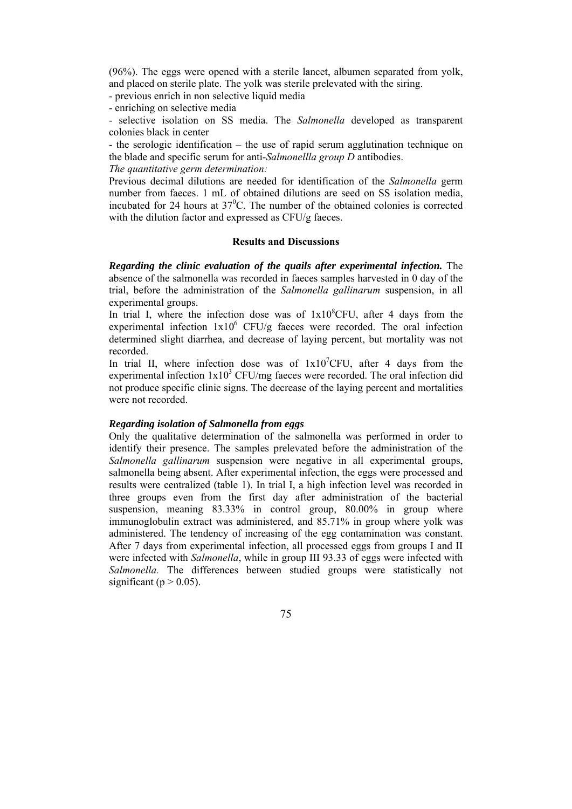(96%). The eggs were opened with a sterile lancet, albumen separated from yolk, and placed on sterile plate. The yolk was sterile prelevated with the siring.

- previous enrich in non selective liquid media

- enriching on selective media

- selective isolation on SS media. The *Salmonella* developed as transparent colonies black in center

- the serologic identification – the use of rapid serum agglutination technique on the blade and specific serum for anti-*Salmonellla group D* antibodies.

*The quantitative germ determination:* 

Previous decimal dilutions are needed for identification of the *Salmonella* germ number from faeces. 1 mL of obtained dilutions are seed on SS isolation media, incubated for 24 hours at  $37^{\circ}$ C. The number of the obtained colonies is corrected with the dilution factor and expressed as CFU/g faeces.

### **Results and Discussions**

*Regarding the clinic evaluation of the quails after experimental infection.* The absence of the salmonella was recorded in faeces samples harvested in 0 day of the trial, before the administration of the *Salmonella gallinarum* suspension, in all experimental groups.

In trial I, where the infection dose was of  $1x10<sup>8</sup>$ CFU, after 4 days from the experimental infection  $1x10^6$  CFU/g faeces were recorded. The oral infection determined slight diarrhea, and decrease of laying percent, but mortality was not recorded.

In trial II, where infection dose was of  $1x10^7$ CFU, after 4 days from the experimental infection  $1x10^3$  CFU/mg faeces were recorded. The oral infection did not produce specific clinic signs. The decrease of the laying percent and mortalities were not recorded.

### *Regarding isolation of Salmonella from eggs*

Only the qualitative determination of the salmonella was performed in order to identify their presence. The samples prelevated before the administration of the *Salmonella gallinarum* suspension were negative in all experimental groups, salmonella being absent. After experimental infection, the eggs were processed and results were centralized (table 1). In trial I, a high infection level was recorded in three groups even from the first day after administration of the bacterial suspension, meaning 83.33% in control group, 80.00% in group where immunoglobulin extract was administered, and 85.71% in group where yolk was administered. The tendency of increasing of the egg contamination was constant. After 7 days from experimental infection, all processed eggs from groups I and II were infected with *Salmonella*, while in group III 93.33 of eggs were infected with *Salmonella.* The differences between studied groups were statistically not significant ( $p > 0.05$ ).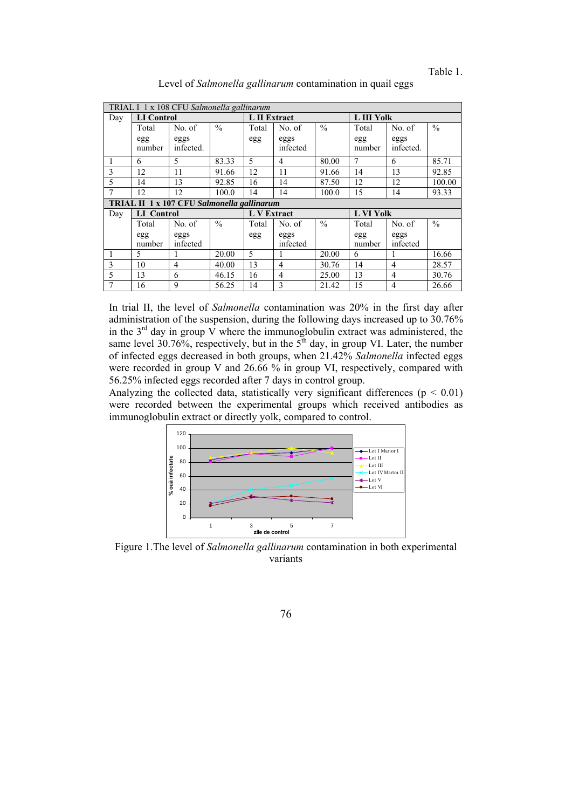| TRIAL I 1 x 108 CFU Salmonella gallinarum  |                   |           |               |                    |          |               |            |           |               |  |  |  |  |
|--------------------------------------------|-------------------|-----------|---------------|--------------------|----------|---------------|------------|-----------|---------------|--|--|--|--|
| Day                                        | <b>LI</b> Control |           |               | L II Extract       |          |               | L III Yolk |           |               |  |  |  |  |
|                                            | Total             | No. of    | $\frac{0}{0}$ | Total              | No. of   | $\frac{0}{0}$ | Total      | No. of    | $\frac{0}{0}$ |  |  |  |  |
|                                            | egg               | eggs      |               | egg                | eggs     |               | egg        | eggs      |               |  |  |  |  |
|                                            | number            | infected. |               |                    | infected |               | number     | infected. |               |  |  |  |  |
|                                            | 6                 | 5         | 83.33         | 5                  | 4        | 80.00         | 7          | 6         | 85.71         |  |  |  |  |
| 3                                          | 12                | 11        | 91.66         | 12                 | 11       | 91.66         | 14         | 13        | 92.85         |  |  |  |  |
| 5                                          | 14                | 13        | 92.85         | 16                 | 14       | 87.50         | 12         | 12        | 100.00        |  |  |  |  |
|                                            | 12                | 12        | 100.0         | 14                 | 14       | 100.0         | 15         | 14        | 93.33         |  |  |  |  |
| TRIAL II 1 x 107 CFU Salmonella gallinarum |                   |           |               |                    |          |               |            |           |               |  |  |  |  |
| Day                                        | <b>LI</b> Control |           |               | <b>L V Extract</b> |          |               | L VI Yolk  |           |               |  |  |  |  |
|                                            | Total             | No. of    | $\frac{0}{0}$ | Total              | No. of   | $\frac{0}{0}$ | Total      | No. of    | $\frac{0}{0}$ |  |  |  |  |
|                                            | egg               | eggs      |               | egg                | eggs     |               | egg        | eggs      |               |  |  |  |  |
|                                            | number            | infected  |               |                    | infected |               | number     | infected  |               |  |  |  |  |
|                                            | 5                 |           | 20.00         | 5                  |          | 20.00         | 6          |           | 16.66         |  |  |  |  |
| 3                                          | 10                | 4         | 40.00         | 13                 | 4        | 30.76         | 14         | 4         | 28.57         |  |  |  |  |
| 5                                          | 13                | 6         | 46.15         | 16                 | 4        | 25.00         | 13         | 4         | 30.76         |  |  |  |  |
|                                            | 16                | 9         | 56.25         | 14                 | 3        | 21.42         | 15         | 4         | 26.66         |  |  |  |  |

Level of *Salmonella gallinarum* contamination in quail eggs

In trial II, the level of *Salmonella* contamination was 20% in the first day after administration of the suspension, during the following days increased up to 30.76% in the  $3<sup>rd</sup>$  day in group V where the immunoglobulin extract was administered, the same level  $30.76\%$ , respectively, but in the  $5<sup>th</sup>$  day, in group VI. Later, the number of infected eggs decreased in both groups, when 21.42% *Salmonella* infected eggs were recorded in group V and 26.66 % in group VI, respectively, compared with 56.25% infected eggs recorded after 7 days in control group.

Analyzing the collected data, statistically very significant differences ( $p < 0.01$ ) were recorded between the experimental groups which received antibodies as immunoglobulin extract or directly yolk, compared to control.



Figure 1.The level of *Salmonella gallinarum* contamination in both experimental variants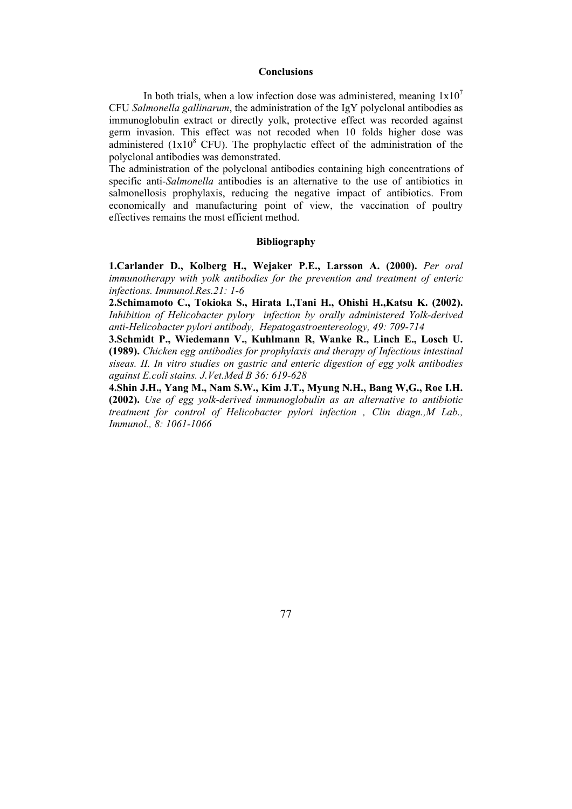### **Conclusions**

In both trials, when a low infection dose was administered, meaning  $1x10<sup>7</sup>$ CFU *Salmonella gallinarum*, the administration of the IgY polyclonal antibodies as immunoglobulin extract or directly yolk, protective effect was recorded against germ invasion. This effect was not recoded when 10 folds higher dose was administered  $(1x10<sup>8</sup>$  CFU). The prophylactic effect of the administration of the polyclonal antibodies was demonstrated.

The administration of the polyclonal antibodies containing high concentrations of specific anti-*Salmonella* antibodies is an alternative to the use of antibiotics in salmonellosis prophylaxis, reducing the negative impact of antibiotics. From economically and manufacturing point of view, the vaccination of poultry effectives remains the most efficient method.

### **Bibliography**

**1.Carlander D., Kolberg H., Wejaker P.E., Larsson A. (2000).** *Per oral immunotherapy with yolk antibodies for the prevention and treatment of enteric infections. Immunol.Res.21: 1-6* 

**2.Schimamoto C., Tokioka S., Hirata I.,Tani H., Ohishi H.,Katsu K. (2002).** *Inhibition of Helicobacter pylory infection by orally administered Yolk-derived anti-Helicobacter pylori antibody, Hepatogastroentereology, 49: 709-714* 

**3.Schmidt P., Wiedemann V., Kuhlmann R, Wanke R., Linch E., Losch U. (1989).** *Chicken egg antibodies for prophylaxis and therapy of Infectious intestinal siseas. II. In vitro studies on gastric and enteric digestion of egg yolk antibodies against E.coli stains. J.Vet.Med B 36: 619-628* 

**4.Shin J.H., Yang M., Nam S.W., Kim J.T., Myung N.H., Bang W,G., Roe I.H. (2002).** *Use of egg yolk-derived immunoglobulin as an alternative to antibiotic treatment for control of Helicobacter pylori infection , Clin diagn.,M Lab., Immunol., 8: 1061-1066*